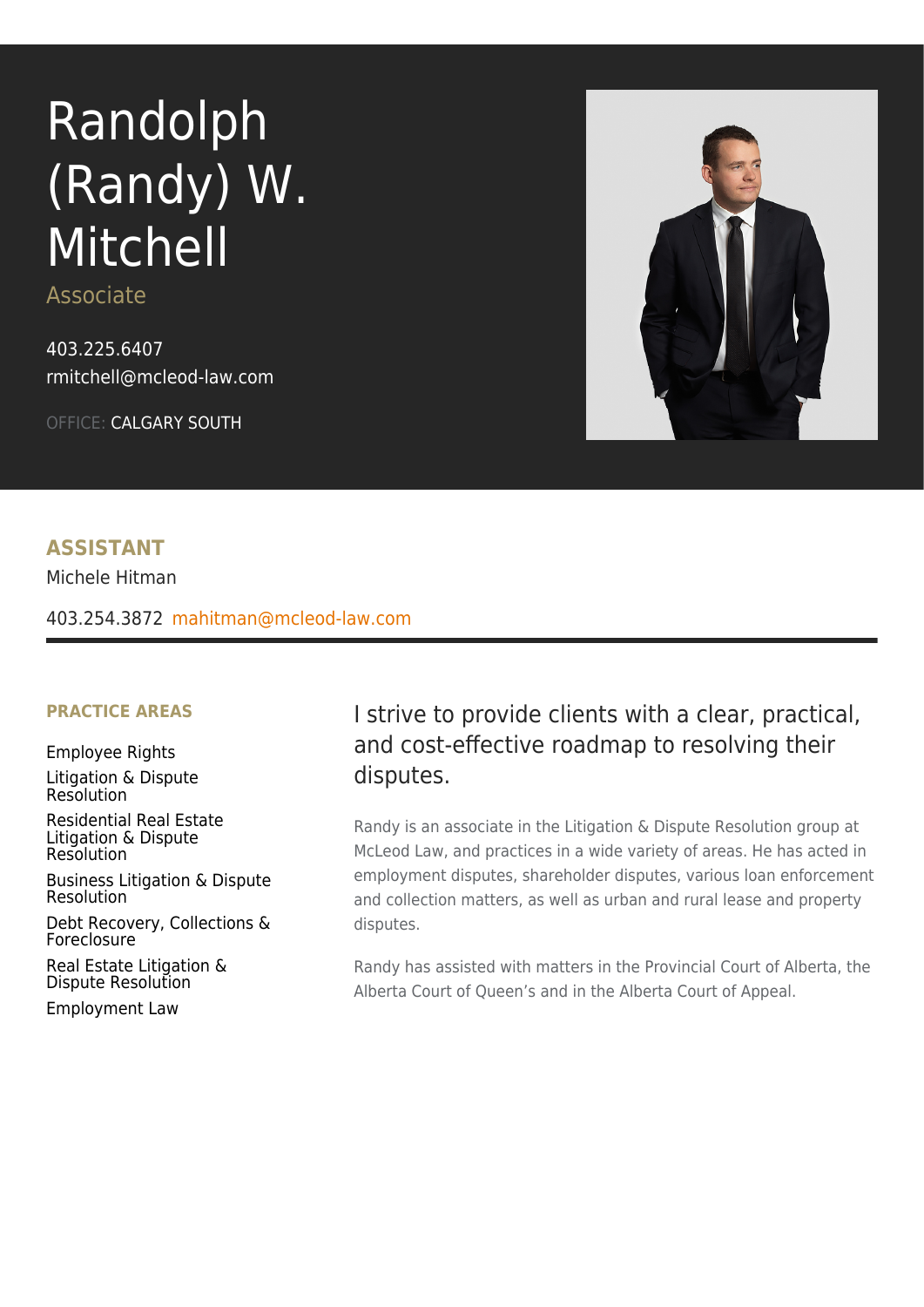# Randolph (Randy) W. Mitchell

Associate

[403.225.6407](tel:403.225.6407) [rmitchell@mcleod-law.com](mailto:rmitchell@mcleod-law.com)

OFFICE: CALGARY SOUTH



#### **ASSISTANT**

Michele Hitman

[403.254.3872](tel:403.254.3872) [mahitman@mcleod-law.com](mailto:mahitman@mcleod-law.com)

#### **PRACTICE AREAS**

[Employee Rights](https://www.mcleod-law.com/services/personal/employee-rights/) [Litigation & Dispute](https://www.mcleod-law.com/services/personal/litigation-and-dispute-resolution/) [Resolution](https://www.mcleod-law.com/services/personal/litigation-and-dispute-resolution/)

[Residential Real Estate](https://www.mcleod-law.com/services/personal/residential-real-estate/residential-real-estate-litigation-and-dispute-resolution/) [Litigation & Dispute](https://www.mcleod-law.com/services/personal/residential-real-estate/residential-real-estate-litigation-and-dispute-resolution/) [Resolution](https://www.mcleod-law.com/services/personal/residential-real-estate/residential-real-estate-litigation-and-dispute-resolution/)

[Business Litigation & Dispute](https://www.mcleod-law.com/services/business/business-litigation-and-dispute-resolution/) [Resolution](https://www.mcleod-law.com/services/business/business-litigation-and-dispute-resolution/)

[Debt Recovery, Collections &](https://www.mcleod-law.com/services/business/business-litigation-and-dispute-resolution/debt-recovery-collections-and-foreclosure/) [Foreclosure](https://www.mcleod-law.com/services/business/business-litigation-and-dispute-resolution/debt-recovery-collections-and-foreclosure/)

[Real Estate Litigation &](https://www.mcleod-law.com/services/business/commercial-real-estate/real-estate-litigation-and-dispute-resolution/) [Dispute Resolution](https://www.mcleod-law.com/services/business/commercial-real-estate/real-estate-litigation-and-dispute-resolution/)

[Employment Law](https://www.mcleod-law.com/services/business/employment-law/)

# I strive to provide clients with a clear, practical, and cost-effective roadmap to resolving their disputes.

Randy is an associate in the Litigation & Dispute Resolution group at McLeod Law, and practices in a wide variety of areas. He has acted in employment disputes, shareholder disputes, various loan enforcement and collection matters, as well as urban and rural lease and property disputes.

Randy has assisted with matters in the Provincial Court of Alberta, the Alberta Court of Queen's and in the Alberta Court of Appeal.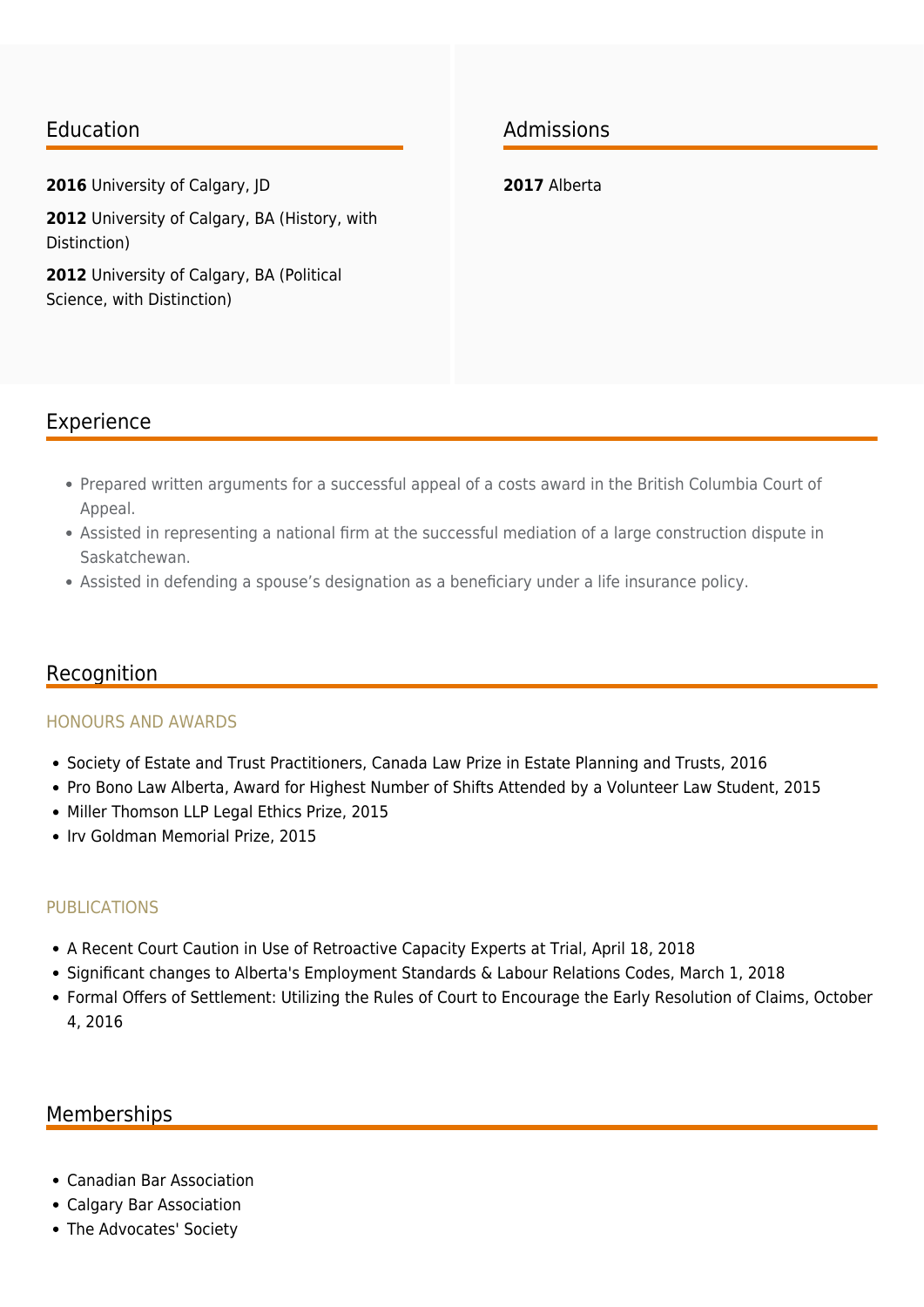#### Education

**2016** University of Calgary, JD

**2012** University of Calgary, BA (History, with Distinction)

**2012** University of Calgary, BA (Political Science, with Distinction)

## Admissions

**2017** Alberta

### Experience

- Prepared written arguments for a successful appeal of a costs award in the British Columbia Court of Appeal.
- Assisted in representing a national firm at the successful mediation of a large construction dispute in Saskatchewan.
- Assisted in defending a spouse's designation as a beneficiary under a life insurance policy.

#### Recognition

#### HONOURS AND AWARDS

- Society of Estate and Trust Practitioners, Canada Law Prize in Estate Planning and Trusts, 2016
- Pro Bono Law Alberta, Award for Highest Number of Shifts Attended by a Volunteer Law Student, 2015
- Miller Thomson LLP Legal Ethics Prize, 2015
- Irv Goldman Memorial Prize, 2015

#### PUBLICATIONS

- A Recent Court Caution in Use of Retroactive Capacity Experts at Trial, April 18, 2018
- Significant changes to Alberta's Employment Standards & Labour Relations Codes, March 1, 2018
- Formal Offers of Settlement: Utilizing the Rules of Court to Encourage the Early Resolution of Claims, October 4, 2016

#### Memberships

- Canadian Bar Association
- Calgary Bar Association
- The Advocates' Society